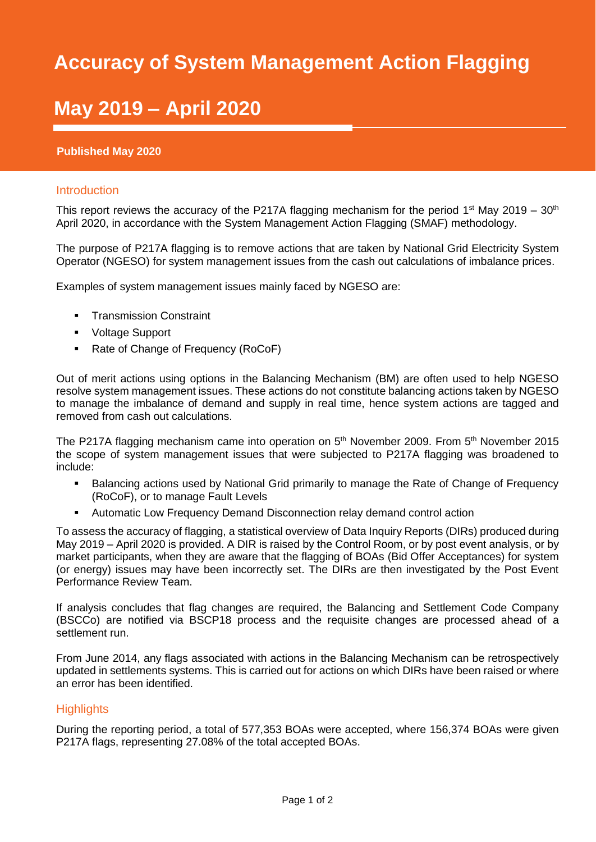## SMAF Report 2019/20 **Accuracy of System Management Action Flagging**

# 2011 **May 2019 – April 2020**

#### **Published May 2020**

#### Introduction

This report reviews the accuracy of the P217A flagging mechanism for the period 1<sup>st</sup> May 2019 – 30<sup>th</sup> April 2020, in accordance with the System Management Action Flagging (SMAF) methodology.

The purpose of P217A flagging is to remove actions that are taken by National Grid Electricity System Operator (NGESO) for system management issues from the cash out calculations of imbalance prices.

Examples of system management issues mainly faced by NGESO are:

- **•** Transmission Constraint
- Voltage Support
- Rate of Change of Frequency (RoCoF)

Out of merit actions using options in the Balancing Mechanism (BM) are often used to help NGESO resolve system management issues. These actions do not constitute balancing actions taken by NGESO to manage the imbalance of demand and supply in real time, hence system actions are tagged and removed from cash out calculations.

The P217A flagging mechanism came into operation on  $5<sup>th</sup>$  November 2009. From  $5<sup>th</sup>$  November 2015 the scope of system management issues that were subjected to P217A flagging was broadened to include:

- Balancing actions used by National Grid primarily to manage the Rate of Change of Frequency (RoCoF), or to manage Fault Levels
- Automatic Low Frequency Demand Disconnection relay demand control action

To assess the accuracy of flagging, a statistical overview of Data Inquiry Reports (DIRs) produced during May 2019 – April 2020 is provided. A DIR is raised by the Control Room, or by post event analysis, or by market participants, when they are aware that the flagging of BOAs (Bid Offer Acceptances) for system (or energy) issues may have been incorrectly set. The DIRs are then investigated by the Post Event Performance Review Team.

If analysis concludes that flag changes are required, the Balancing and Settlement Code Company (BSCCo) are notified via BSCP18 process and the requisite changes are processed ahead of a settlement run.

From June 2014, any flags associated with actions in the Balancing Mechanism can be retrospectively updated in settlements systems. This is carried out for actions on which DIRs have been raised or where an error has been identified.

### **Highlights**

During the reporting period, a total of 577,353 BOAs were accepted, where 156,374 BOAs were given P217A flags, representing 27.08% of the total accepted BOAs.